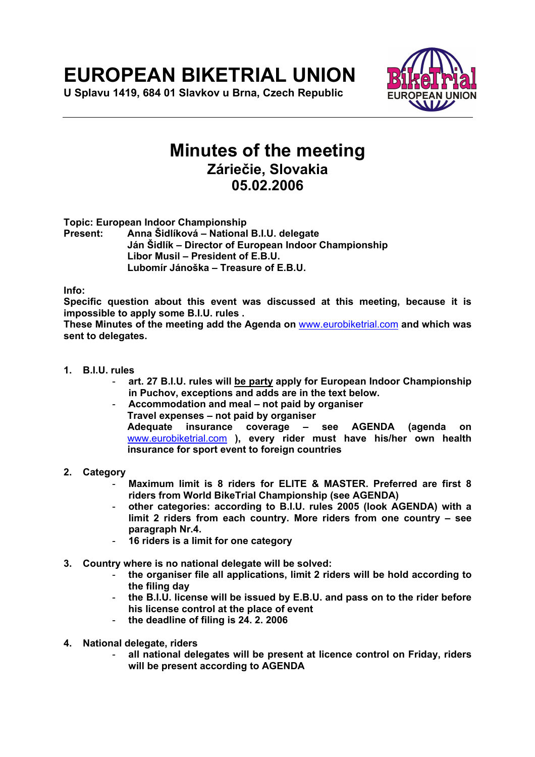# **EUROPEAN BIKETRIAL UNION**

**U Splavu 1419, 684 01 Slavkov u Brna, Czech Republic** 



## **Minutes of the meeting Záriečie, Slovakia 05.02.2006**

**Topic: European Indoor Championship** 

**Present: Anna Šidlíková – National B.I.U. delegate Ján Šidlík – Director of European Indoor Championship Libor Musil – President of E.B.U. Lubomír Jánoška – Treasure of E.B.U.** 

**Info:** 

**Specific question about this event was discussed at this meeting, because it is impossible to apply some B.I.U. rules .** 

**These Minutes of the meeting add the Agenda on** www.eurobiketrial.com **and which was sent to delegates.** 

- **1. B.I.U. rules** 
	- **art. 27 B.I.U. rules will be party apply for European Indoor Championship in Puchov, exceptions and adds are in the text below.**
	- **Accommodation and meal not paid by organiser Travel expenses – not paid by organiser Adequate insurance coverage – see AGENDA (agenda on**  www.eurobiketrial.com **), every rider must have his/her own health insurance for sport event to foreign countries**
- **2. Category** 
	- **Maximum limit is 8 riders for ELITE & MASTER. Preferred are first 8 riders from World BikeTrial Championship (see AGENDA)**
	- **other categories: according to B.I.U. rules 2005 (look AGENDA) with a limit 2 riders from each country. More riders from one country – see paragraph Nr.4.**
	- **16 riders is a limit for one category**
- **3. Country where is no national delegate will be solved:** 
	- **the organiser file all applications, limit 2 riders will be hold according to the filing day**
	- **the B.I.U. license will be issued by E.B.U. and pass on to the rider before his license control at the place of event**
	- **the deadline of filing is 24. 2. 2006**
- **4. National delegate, riders** 
	- **all national delegates will be present at licence control on Friday, riders will be present according to AGENDA**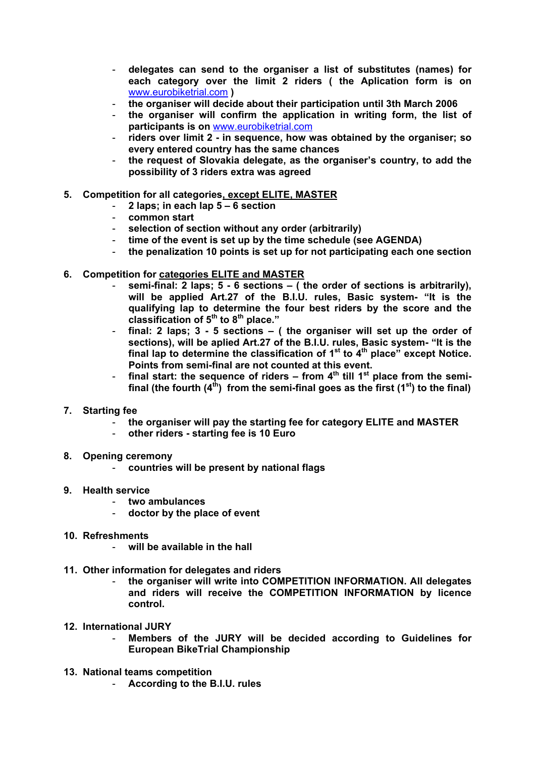- **delegates can send to the organiser a list of substitutes (names) for each category over the limit 2 riders ( the Aplication form is on**  www.eurobiketrial.com **)**
- **the organiser will decide about their participation until 3th March 2006**
- **the organiser will confirm the application in writing form, the list of participants is on** www.eurobiketrial.com
- **riders over limit 2 in sequence, how was obtained by the organiser; so every entered country has the same chances**
- **the request of Slovakia delegate, as the organiser's country, to add the possibility of 3 riders extra was agreed**

### **5. Competition for all categories, except ELITE, MASTER**

- **2 laps; in each lap 5 6 section**
- **common start**
- **selection of section without any order (arbitrarily)**
- time of the event is set up by the time schedule (see AGENDA)
- **the penalization 10 points is set up for not participating each one section**
- **6. Competition for categories ELITE and MASTER**
	- semi-final: 2 laps; 5 6 sections ( the order of sections is arbitrarily), **will be applied Art.27 of the B.I.U. rules, Basic system- "It is the qualifying lap to determine the four best riders by the score and the classification of 5th to 8th place."**
	- **final: 2 laps; 3 5 sections ( the organiser will set up the order of sections), will be aplied Art.27 of the B.I.U. rules, Basic system- "It is the**  final lap to determine the classification of 1<sup>st</sup> to 4<sup>th</sup> place" except Notice. **Points from semi-final are not counted at this event.**
	- final start: the sequence of riders  $-$  from  $4<sup>th</sup>$  till 1<sup>st</sup> place from the semifinal (the fourth  $(4<sup>th</sup>)$  from the semi-final goes as the first  $(1<sup>st</sup>)$  to the final)
- **7. Starting fee** 
	- **the organiser will pay the starting fee for category ELITE and MASTER**
	- **other riders starting fee is 10 Euro**
- **8. Opening ceremony** 
	- **countries will be present by national flags**
- **9. Health service** 
	- **two ambulances**
	- **doctor by the place of event**
- **10. Refreshments** 
	- **will be available in the hall**
- **11. Other information for delegates and riders** 
	- **the organiser will write into COMPETITION INFORMATION. All delegates and riders will receive the COMPETITION INFORMATION by licence control.**
- **12. International JURY** 
	- **Members of the JURY will be decided according to Guidelines for European BikeTrial Championship**
- **13. National teams competition** 
	- **According to the B.I.U. rules**